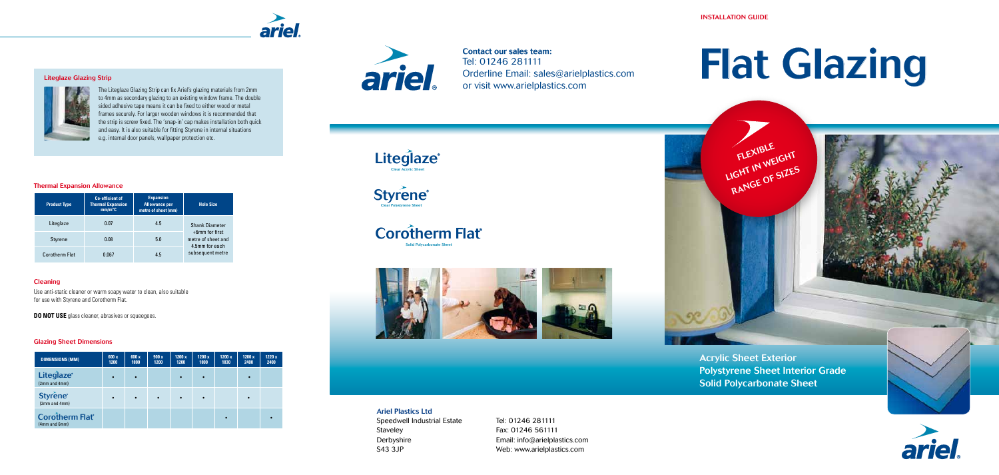Contact our sales team: Tel: 01246 281111 Orderline Email: sales@arielplastics.com or visit www.arielplastics.com



Acrylic Sheet Exterior Polystyrene Sheet Interior Grade Solid Polycarbonate Sheet





#### Ariel Plastics Ltd

Speedwell Industrial Estate Staveley Derbyshire S43 3JP

Tel: 01246 281111 Fax: 01246 561111 Email: info@arielplastics.com Web: www.arielplastics.com

# Flat Glazing

INSTALLATION GUIDE

FLEXIBLE FLEAT WEIGHT RANGE OF SIZES



#### Liteglaze Glazing Strip



**Liteglaze**<sup>®</sup> Clear Acrylic Sheet

Corotherm Flat<sup>®</sup> Solid Polycarbonate Sheet





 $C<sup>2</sup>$ 

The Liteglaze Glazing Strip can fix Ariel's glazing materials from 2mm to 4mm as secondary glazing to an existing window frame. The double sided adhesive tape means it can be fixed to either wood or metal frames securely. For larger wooden windows it is recommended that the strip is screw fixed. The 'snap-in' cap makes installation both quick and easy. It is also suitable for fitting Styrene in internal situations e.g. internal door panels, wallpaper protection etc.



#### Thermal Expansion Allowance

#### Cleaning

Use anti-static cleaner or warm soapy water to clean, also suitable for use with Styrene and Corotherm Flat.

**DO NOT USE** glass cleaner, abrasives or squeegees.

#### Glazing Sheet Dimensions



| <b>Product Type</b>   | <b>Co-efficient of</b><br><b>Thermal Expansion</b><br>$mm/m^{\circ}C$ | <b>Expansion</b><br><b>Allowance per</b><br>metre of sheet (mm) | <b>Hole Size</b>                                          |  |  |
|-----------------------|-----------------------------------------------------------------------|-----------------------------------------------------------------|-----------------------------------------------------------|--|--|
| Liteglaze             | 0.07                                                                  | 4.5                                                             | <b>Shank Diameter</b>                                     |  |  |
| <b>Styrene</b>        | 0.08                                                                  | 5.0                                                             | $+6$ mm for first<br>metre of sheet and<br>4.5mm for each |  |  |
| <b>Corotherm Flat</b> | 0.067                                                                 | 4.5                                                             | subsequent metre                                          |  |  |

| <b>DIMENSIONS (MM)</b>                  | 600 x<br>1200 | 600x<br>1800 | 900x<br>1200 | 1200x<br>1200 | 1200x<br>1800 | 1200 x<br>1830 | 1200x<br>2400 | 1220 x<br>2400 |
|-----------------------------------------|---------------|--------------|--------------|---------------|---------------|----------------|---------------|----------------|
| Liteglaze <sup>®</sup><br>(2mm and 4mm) | $\bullet$     | $\bullet$    |              | $\bullet$     |               |                |               |                |
| Styrene <sup>*</sup><br>(2mm and 4mm)   | $\bullet$     | $\bullet$    | $\bullet$    | $\bullet$     |               |                | $\bullet$     |                |
| <b>Corotherm Flat</b><br>(4mm and 6mm)  |               |              |              |               |               |                |               |                |